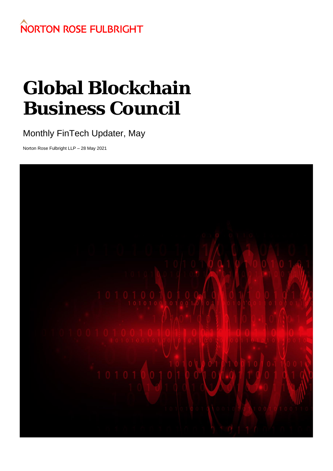## **NORTON ROSE FULBRIGHT**

# **Global Blockchain Business Council**

### Monthly FinTech Updater, May

Norton Rose Fulbright LLP – 28 May 2021

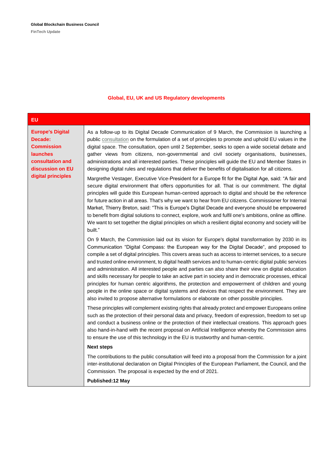| <b>EU</b>                                                                                                                                |                                                                                                                                                                                                                                                                                                                                                                                                                                                                                                                                                                                                                                                                                                                                                                                                                                                                                                                                                                                                                                                                                                                                                                                                                                                                                                                                                                                           |
|------------------------------------------------------------------------------------------------------------------------------------------|-------------------------------------------------------------------------------------------------------------------------------------------------------------------------------------------------------------------------------------------------------------------------------------------------------------------------------------------------------------------------------------------------------------------------------------------------------------------------------------------------------------------------------------------------------------------------------------------------------------------------------------------------------------------------------------------------------------------------------------------------------------------------------------------------------------------------------------------------------------------------------------------------------------------------------------------------------------------------------------------------------------------------------------------------------------------------------------------------------------------------------------------------------------------------------------------------------------------------------------------------------------------------------------------------------------------------------------------------------------------------------------------|
| <b>Europe's Digital</b><br>Decade:<br><b>Commission</b><br><b>launches</b><br>consultation and<br>discussion on EU<br>digital principles | As a follow-up to its Digital Decade Communication of 9 March, the Commission is launching a<br>public consultation on the formulation of a set of principles to promote and uphold EU values in the<br>digital space. The consultation, open until 2 September, seeks to open a wide societal debate and<br>gather views from citizens, non-governmental and civil society organisations, businesses,<br>administrations and all interested parties. These principles will guide the EU and Member States in<br>designing digital rules and regulations that deliver the benefits of digitalisation for all citizens.<br>Margrethe Vestager, Executive Vice-President for a Europe fit for the Digital Age, said: "A fair and<br>secure digital environment that offers opportunities for all. That is our commitment. The digital<br>principles will guide this European human-centred approach to digital and should be the reference<br>for future action in all areas. That's why we want to hear from EU citizens. Commissioner for Internal<br>Market, Thierry Breton, said: "This is Europe's Digital Decade and everyone should be empowered<br>to benefit from digital solutions to connect, explore, work and fulfil one's ambitions, online as offline.<br>We want to set together the digital principles on which a resilient digital economy and society will be<br>built." |
|                                                                                                                                          | On 9 March, the Commission laid out its vision for Europe's digital transformation by 2030 in its<br>Communication "Digital Compass: the European way for the Digital Decade", and proposed to<br>compile a set of digital principles. This covers areas such as access to internet services, to a secure<br>and trusted online environment, to digital health services and to human-centric digital public services<br>and administration. All interested people and parties can also share their view on digital education<br>and skills necessary for people to take an active part in society and in democratic processes, ethical<br>principles for human centric algorithms, the protection and empowerment of children and young<br>people in the online space or digital systems and devices that respect the environment. They are<br>also invited to propose alternative formulations or elaborate on other possible principles.                                                                                                                                                                                                                                                                                                                                                                                                                                                |
|                                                                                                                                          | These principles will complement existing rights that already protect and empower Europeans online<br>such as the protection of their personal data and privacy, freedom of expression, freedom to set up<br>and conduct a business online or the protection of their intellectual creations. This approach goes<br>also hand-in-hand with the recent proposal on Artificial Intelligence whereby the Commission aims<br>to ensure the use of this technology in the EU is trustworthy and human-centric.                                                                                                                                                                                                                                                                                                                                                                                                                                                                                                                                                                                                                                                                                                                                                                                                                                                                                 |
|                                                                                                                                          | <b>Next steps</b>                                                                                                                                                                                                                                                                                                                                                                                                                                                                                                                                                                                                                                                                                                                                                                                                                                                                                                                                                                                                                                                                                                                                                                                                                                                                                                                                                                         |
|                                                                                                                                          | The contributions to the public consultation will feed into a proposal from the Commission for a joint<br>inter-institutional declaration on Digital Principles of the European Parliament, the Council, and the<br>Commission. The proposal is expected by the end of 2021.                                                                                                                                                                                                                                                                                                                                                                                                                                                                                                                                                                                                                                                                                                                                                                                                                                                                                                                                                                                                                                                                                                              |
|                                                                                                                                          | <b>Published:12 May</b>                                                                                                                                                                                                                                                                                                                                                                                                                                                                                                                                                                                                                                                                                                                                                                                                                                                                                                                                                                                                                                                                                                                                                                                                                                                                                                                                                                   |

#### **Global, EU, UK and US Regulatory developments**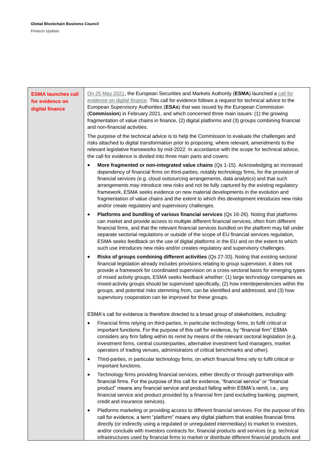| <b>ESMA launches call</b><br>for evidence on<br>digital finance | On 25 May 2021, the European Securities and Markets Authority (ESMA) launched a call for<br>evidence on digital finance. This call for evidence follows a request for technical advice to the<br>European Supervisory Authorities (ESAs) that was issued by the European Commission<br>(Commission) in February 2021, and which concerned three main issues: (1) the growing<br>fragmentation of value chains in finance, (2) digital platforms and (3) groups combining financial<br>and non-financial activities.                                                                                                                                |
|-----------------------------------------------------------------|----------------------------------------------------------------------------------------------------------------------------------------------------------------------------------------------------------------------------------------------------------------------------------------------------------------------------------------------------------------------------------------------------------------------------------------------------------------------------------------------------------------------------------------------------------------------------------------------------------------------------------------------------|
|                                                                 | The purpose of the technical advice is to help the Commission to evaluate the challenges and<br>risks attached to digital transformation prior to proposing, where relevant, amendments to the<br>relevant legislative frameworks by mid-2022. In accordance with the scope for technical advice,<br>the call for evidence is divided into three main parts and covers:                                                                                                                                                                                                                                                                            |
|                                                                 | More fragmented or non-integrated value chains (Qs 1-15). Acknowledging an increased<br>dependency of financial firms on third-parties, notably technology firms, for the provision of<br>financial services (e.g. cloud outsourcing arrangements, data analytics) and that such<br>arrangements may introduce new risks and not be fully captured by the existing regulatory<br>framework, ESMA seeks evidence on new material developments in the evolution and<br>fragmentation of value chains and the extent to which this development introduces new risks<br>and/or create regulatory and supervisory challenges.                           |
|                                                                 | Platforms and bundling of various financial services (Qs 16-26). Noting that platforms<br>٠<br>can market and provide access to multiple different financial services, often from different<br>financial firms, and that the relevant financial services bundled on the platform may fall under<br>separate sectorial regulations or outside of the scope of EU financial services regulation,<br>ESMA seeks feedback on the use of digital platforms in the EU and on the extent to which<br>such use introduces new risks and/or creates regulatory and supervisory challenges.                                                                  |
|                                                                 | Risks of groups combining different activities (Qs 27-33). Noting that existing sectoral<br>٠<br>financial legislation already includes provisions relating to group supervision, it does not<br>provide a framework for coordinated supervision on a cross-sectoral basis for emerging types<br>of mixed activity groups, ESMA seeks feedback whether: (1) large technology companies as<br>mixed-activity groups should be supervised specifically, (2) how interdependencies within the<br>groups, and potential risks stemming from, can be identified and addressed, and (3) how<br>supervisory cooperation can be improved for these groups. |
|                                                                 | ESMA's call for evidence is therefore directed to a broad group of stakeholders, including:                                                                                                                                                                                                                                                                                                                                                                                                                                                                                                                                                        |
|                                                                 | Financial firms relying on third-parties, in particular technology firms, to fulfil critical or<br>important functions. For the purpose of this call for evidence, by "financial firm" ESMA<br>considers any firm falling within its remit by means of the relevant sectoral legislation (e.g.<br>investment firms, central counterparties, alternative investment fund managers, market<br>operators of trading venues, administrators of critical benchmarks and other).                                                                                                                                                                         |
|                                                                 | Third-parties, in particular technology firms, on which financial firms rely to fulfil critical or<br>$\bullet$<br>important functions.                                                                                                                                                                                                                                                                                                                                                                                                                                                                                                            |
|                                                                 | Technology firms providing financial services, either directly or through partnerships with<br>$\bullet$<br>financial firms. For the purpose of this call for evidence, "financial service" or "financial<br>product" means any financial service and product falling within ESMA's remit, i.e., any<br>financial service and product provided by a financial firm (and excluding banking, payment,<br>credit and insurance services).                                                                                                                                                                                                             |
|                                                                 | Platforms marketing or providing access to different financial services. For the purpose of this<br>٠<br>call for evidence, a term "platform" means any digital platform that enables financial firms<br>directly (or indirectly using a regulated or unregulated intermediary) to market to investors,<br>and/or conclude with investors contracts for, financial products and services (e.g. technical<br>infrastructures used by financial firms to market or distribute different financial products and                                                                                                                                       |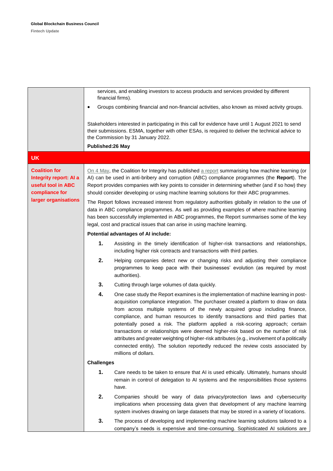|                                                                                                                |                   | services, and enabling investors to access products and services provided by different<br>financial firms).                                                                                                                                                                                                                                                                                                                                                                                                                                                                                                                                                                                                                            |
|----------------------------------------------------------------------------------------------------------------|-------------------|----------------------------------------------------------------------------------------------------------------------------------------------------------------------------------------------------------------------------------------------------------------------------------------------------------------------------------------------------------------------------------------------------------------------------------------------------------------------------------------------------------------------------------------------------------------------------------------------------------------------------------------------------------------------------------------------------------------------------------------|
|                                                                                                                | ٠                 | Groups combining financial and non-financial activities, also known as mixed activity groups.                                                                                                                                                                                                                                                                                                                                                                                                                                                                                                                                                                                                                                          |
|                                                                                                                |                   | Stakeholders interested in participating in this call for evidence have until 1 August 2021 to send<br>their submissions. ESMA, together with other ESAs, is required to deliver the technical advice to<br>the Commission by 31 January 2022.                                                                                                                                                                                                                                                                                                                                                                                                                                                                                         |
|                                                                                                                | Published:26 May  |                                                                                                                                                                                                                                                                                                                                                                                                                                                                                                                                                                                                                                                                                                                                        |
| <b>UK</b>                                                                                                      |                   |                                                                                                                                                                                                                                                                                                                                                                                                                                                                                                                                                                                                                                                                                                                                        |
| <b>Coalition for</b><br>Integrity report: AI a<br>useful tool in ABC<br>compliance for<br>larger organisations |                   | On 4 May, the Coalition for Integrity has published a report summarising how machine learning (or<br>AI) can be used in anti-bribery and corruption (ABC) compliance programmes (the Report). The<br>Report provides companies with key points to consider in determining whether (and if so how) they<br>should consider developing or using machine learning solutions for their ABC programmes.                                                                                                                                                                                                                                                                                                                                     |
|                                                                                                                |                   | The Report follows increased interest from regulatory authorities globally in relation to the use of<br>data in ABC compliance programmes. As well as providing examples of where machine learning<br>has been successfully implemented in ABC programmes, the Report summarises some of the key<br>legal, cost and practical issues that can arise in using machine learning.                                                                                                                                                                                                                                                                                                                                                         |
|                                                                                                                |                   | Potential advantages of AI include:                                                                                                                                                                                                                                                                                                                                                                                                                                                                                                                                                                                                                                                                                                    |
|                                                                                                                | 1.                | Assisting in the timely identification of higher-risk transactions and relationships,<br>including higher risk contracts and transactions with third parties.                                                                                                                                                                                                                                                                                                                                                                                                                                                                                                                                                                          |
|                                                                                                                | 2.                | Helping companies detect new or changing risks and adjusting their compliance<br>programmes to keep pace with their businesses' evolution (as required by most<br>authorities).                                                                                                                                                                                                                                                                                                                                                                                                                                                                                                                                                        |
|                                                                                                                | 3.                | Cutting through large volumes of data quickly.                                                                                                                                                                                                                                                                                                                                                                                                                                                                                                                                                                                                                                                                                         |
|                                                                                                                | 4.                | One case study the Report examines is the implementation of machine learning in post-<br>acquisition compliance integration. The purchaser created a platform to draw on data<br>from across multiple systems of the newly acquired group including finance,<br>compliance, and human resources to identify transactions and third parties that<br>potentially posed a risk. The platform applied a risk-scoring approach; certain<br>transactions or relationships were deemed higher-risk based on the number of risk<br>attributes and greater weighting of higher-risk attributes (e.g., involvement of a politically<br>connected entity). The solution reportedly reduced the review costs associated by<br>millions of dollars. |
|                                                                                                                | <b>Challenges</b> |                                                                                                                                                                                                                                                                                                                                                                                                                                                                                                                                                                                                                                                                                                                                        |
|                                                                                                                | 1.                | Care needs to be taken to ensure that AI is used ethically. Ultimately, humans should<br>remain in control of delegation to AI systems and the responsibilities those systems<br>have.                                                                                                                                                                                                                                                                                                                                                                                                                                                                                                                                                 |
|                                                                                                                | 2.                | Companies should be wary of data privacy/protection laws and cybersecurity<br>implications when processing data given that development of any machine learning<br>system involves drawing on large datasets that may be stored in a variety of locations.                                                                                                                                                                                                                                                                                                                                                                                                                                                                              |
|                                                                                                                | 3.                | The process of developing and implementing machine learning solutions tailored to a<br>company's needs is expensive and time-consuming. Sophisticated AI solutions are                                                                                                                                                                                                                                                                                                                                                                                                                                                                                                                                                                 |
|                                                                                                                |                   |                                                                                                                                                                                                                                                                                                                                                                                                                                                                                                                                                                                                                                                                                                                                        |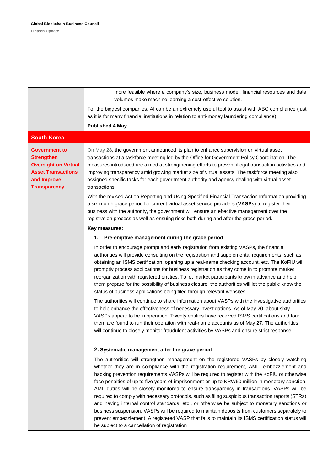|                                                                                                                                             | more feasible where a company's size, business model, financial resources and data<br>volumes make machine learning a cost-effective solution.                                                                                                                                                                                                                                                                                                                                                                                                                                                                                                                                                                                                                                                                                                                                                                                                    |
|---------------------------------------------------------------------------------------------------------------------------------------------|---------------------------------------------------------------------------------------------------------------------------------------------------------------------------------------------------------------------------------------------------------------------------------------------------------------------------------------------------------------------------------------------------------------------------------------------------------------------------------------------------------------------------------------------------------------------------------------------------------------------------------------------------------------------------------------------------------------------------------------------------------------------------------------------------------------------------------------------------------------------------------------------------------------------------------------------------|
|                                                                                                                                             | For the biggest companies, AI can be an extremely useful tool to assist with ABC compliance (just<br>as it is for many financial institutions in relation to anti-money laundering compliance).<br><b>Published 4 May</b>                                                                                                                                                                                                                                                                                                                                                                                                                                                                                                                                                                                                                                                                                                                         |
| <b>South Korea</b>                                                                                                                          |                                                                                                                                                                                                                                                                                                                                                                                                                                                                                                                                                                                                                                                                                                                                                                                                                                                                                                                                                   |
| <b>Government to</b><br><b>Strengthen</b><br><b>Oversight on Virtual</b><br><b>Asset Transactions</b><br>and Improve<br><b>Transparency</b> | On May 28, the government announced its plan to enhance supervision on virtual asset<br>transactions at a taskforce meeting led by the Office for Government Policy Coordination. The<br>measures introduced are aimed at strengthening efforts to prevent illegal transaction activities and<br>improving transparency amid growing market size of virtual assets. The taskforce meeting also<br>assigned specific tasks for each government authority and agency dealing with virtual asset<br>transactions.                                                                                                                                                                                                                                                                                                                                                                                                                                    |
|                                                                                                                                             | With the revised Act on Reporting and Using Specified Financial Transaction Information providing<br>a six-month grace period for current virtual asset service providers (VASPs) to register their<br>business with the authority, the government will ensure an effective management over the<br>registration process as well as ensuing risks both during and after the grace period.                                                                                                                                                                                                                                                                                                                                                                                                                                                                                                                                                          |
|                                                                                                                                             | Key measures:                                                                                                                                                                                                                                                                                                                                                                                                                                                                                                                                                                                                                                                                                                                                                                                                                                                                                                                                     |
|                                                                                                                                             | 1. Pre-emptive management during the grace period                                                                                                                                                                                                                                                                                                                                                                                                                                                                                                                                                                                                                                                                                                                                                                                                                                                                                                 |
|                                                                                                                                             | In order to encourage prompt and early registration from existing VASPs, the financial<br>authorities will provide consulting on the registration and supplemental requirements, such as<br>obtaining an ISMS certification, opening up a real-name checking account, etc. The KoFIU will<br>promptly process applications for business registration as they come in to promote market<br>reorganization with registered entities. To let market participants know in advance and help<br>them prepare for the possibility of business closure, the authorities will let the public know the<br>status of business applications being filed through relevant websites.                                                                                                                                                                                                                                                                            |
|                                                                                                                                             | The authorities will continue to share information about VASPs with the investigative authorities<br>to help enhance the effectiveness of necessary investigations. As of May 20, about sixty<br>VASPs appear to be in operation. Twenty entities have received ISMS certifications and four<br>them are found to run their operation with real-name accounts as of May 27. The authorities<br>will continue to closely monitor fraudulent activities by VASPs and ensure strict response.                                                                                                                                                                                                                                                                                                                                                                                                                                                        |
|                                                                                                                                             | 2. Systematic management after the grace period                                                                                                                                                                                                                                                                                                                                                                                                                                                                                                                                                                                                                                                                                                                                                                                                                                                                                                   |
|                                                                                                                                             | The authorities will strengthen management on the registered VASPs by closely watching<br>whether they are in compliance with the registration requirement, AML, embezzlement and<br>hacking prevention requirements. VASPs will be required to register with the KoFIU or otherwise<br>face penalties of up to five years of imprisonment or up to KRW50 million in monetary sanction.<br>AML duties will be closely monitored to ensure transparency in transactions. VASPs will be<br>required to comply with necessary protocols, such as filing suspicious transaction reports (STRs)<br>and having internal control standards, etc., or otherwise be subject to monetary sanctions or<br>business suspension. VASPs will be required to maintain deposits from customers separately to<br>prevent embezzlement. A registered VASP that fails to maintain its ISMS certification status will<br>be subject to a cancellation of registration |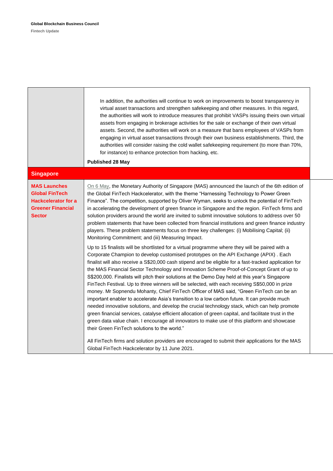|                                                                                                                  | In addition, the authorities will continue to work on improvements to boost transparency in<br>virtual asset transactions and strengthen safekeeping and other measures. In this regard,<br>the authorities will work to introduce measures that prohibit VASPs issuing theirs own virtual<br>assets from engaging in brokerage activities for the sale or exchange of their own virtual<br>assets. Second, the authorities will work on a measure that bans employees of VASPs from<br>engaging in virtual asset transactions through their own business establishments. Third, the<br>authorities will consider raising the cold wallet safekeeping requirement (to more than 70%,<br>for instance) to enhance protection from hacking, etc.<br><b>Published 28 May</b>                                                                                                                                                                                                                                                                                                                                                                                                                                                                                                                                     |
|------------------------------------------------------------------------------------------------------------------|---------------------------------------------------------------------------------------------------------------------------------------------------------------------------------------------------------------------------------------------------------------------------------------------------------------------------------------------------------------------------------------------------------------------------------------------------------------------------------------------------------------------------------------------------------------------------------------------------------------------------------------------------------------------------------------------------------------------------------------------------------------------------------------------------------------------------------------------------------------------------------------------------------------------------------------------------------------------------------------------------------------------------------------------------------------------------------------------------------------------------------------------------------------------------------------------------------------------------------------------------------------------------------------------------------------|
| <b>Singapore</b>                                                                                                 |                                                                                                                                                                                                                                                                                                                                                                                                                                                                                                                                                                                                                                                                                                                                                                                                                                                                                                                                                                                                                                                                                                                                                                                                                                                                                                               |
| <b>MAS Launches</b><br><b>Global FinTech</b><br><b>Hackcelerator for a</b><br><b>Greener Financial</b><br>Sector | On 6 May, the Monetary Authority of Singapore (MAS) announced the launch of the 6th edition of<br>the Global FinTech Hackcelerator, with the theme "Harnessing Technology to Power Green<br>Finance". The competition, supported by Oliver Wyman, seeks to unlock the potential of FinTech<br>in accelerating the development of green finance in Singapore and the region. FinTech firms and<br>solution providers around the world are invited to submit innovative solutions to address over 50<br>problem statements that have been collected from financial institutions and green finance industry<br>players. These problem statements focus on three key challenges: (i) Mobilising Capital; (ii)<br>Monitoring Commitment; and (iii) Measuring Impact.                                                                                                                                                                                                                                                                                                                                                                                                                                                                                                                                               |
|                                                                                                                  | Up to 15 finalists will be shortlisted for a virtual programme where they will be paired with a<br>Corporate Champion to develop customised prototypes on the API Exchange (APIX). Each<br>finalist will also receive a S\$20,000 cash stipend and be eligible for a fast-tracked application for<br>the MAS Financial Sector Technology and Innovation Scheme Proof-of-Concept Grant of up to<br>S\$200,000. Finalists will pitch their solutions at the Demo Day held at this year's Singapore<br>FinTech Festival. Up to three winners will be selected, with each receiving S\$50,000 in prize<br>money. Mr Sopnendu Mohanty, Chief FinTech Officer of MAS said, "Green FinTech can be an<br>important enabler to accelerate Asia's transition to a low carbon future. It can provide much<br>needed innovative solutions, and develop the crucial technology stack, which can help promote<br>green financial services, catalyse efficient allocation of green capital, and facilitate trust in the<br>green data value chain. I encourage all innovators to make use of this platform and showcase<br>their Green FinTech solutions to the world."<br>All FinTech firms and solution providers are encouraged to submit their applications for the MAS<br>Global FinTech Hackcelerator by 11 June 2021. |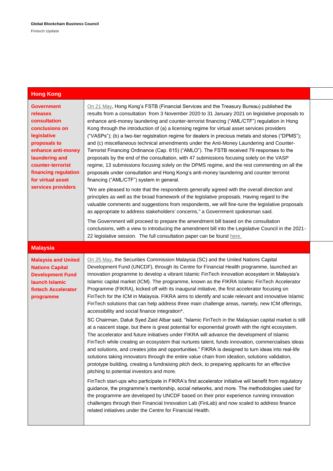| <b>Hong Kong</b>                                                                                                                                                                                                               |                                                                                                                                                                                                                                                                                                                                                                                                                                                                                                                                                                                                                                                                                                                                                                                                                                                                                                                                                                                                                                                                                                                                                                                                                                                                                                                                                                                                                                                                                                                                                                                                                                                                                                                                                                                                                                                                                                                                                                                 |
|--------------------------------------------------------------------------------------------------------------------------------------------------------------------------------------------------------------------------------|---------------------------------------------------------------------------------------------------------------------------------------------------------------------------------------------------------------------------------------------------------------------------------------------------------------------------------------------------------------------------------------------------------------------------------------------------------------------------------------------------------------------------------------------------------------------------------------------------------------------------------------------------------------------------------------------------------------------------------------------------------------------------------------------------------------------------------------------------------------------------------------------------------------------------------------------------------------------------------------------------------------------------------------------------------------------------------------------------------------------------------------------------------------------------------------------------------------------------------------------------------------------------------------------------------------------------------------------------------------------------------------------------------------------------------------------------------------------------------------------------------------------------------------------------------------------------------------------------------------------------------------------------------------------------------------------------------------------------------------------------------------------------------------------------------------------------------------------------------------------------------------------------------------------------------------------------------------------------------|
| <b>Government</b><br>releases<br>consultation<br>conclusions on<br>legislative<br>proposals to<br>enhance anti-money<br>laundering and<br>counter-terrorist<br>financing regulation<br>for virtual asset<br>services providers | On 21 May, Hong Kong's FSTB (Financial Services and the Treasury Bureau) published the<br>results from a consultation from 3 November 2020 to 31 January 2021 on legislative proposals to<br>enhance anti-money laundering and counter-terrorist financing ("AML/CTF") regulation in Hong<br>Kong through the introduction of (a) a licensing regime for virtual asset services providers<br>("VASPs"); (b) a two-tier registration regime for dealers in precious metals and stones ("DPMS");<br>and (c) miscellaneous technical amendments under the Anti-Money Laundering and Counter-<br>Terrorist Financing Ordinance (Cap. 615) ("AMLO"). The FSTB received 79 responses to the<br>proposals by the end of the consultation, with 47 submissions focusing solely on the VASP<br>regime, 13 submissions focusing solely on the DPMS regime, and the rest commenting on all the<br>proposals under consultation and Hong Kong's anti-money laundering and counter terrorist<br>financing ("AML/CTF") system in general.<br>"We are pleased to note that the respondents generally agreed with the overall direction and<br>principles as well as the broad framework of the legislative proposals. Having regard to the<br>valuable comments and suggestions from respondents, we will fine-tune the legislative proposals<br>as appropriate to address stakeholders' concerns," a Government spokesman said.                                                                                                                                                                                                                                                                                                                                                                                                                                                                                                                                                               |
|                                                                                                                                                                                                                                | The Government will proceed to prepare the amendment bill based on the consultation<br>conclusions, with a view to introducing the amendment bill into the Legislative Council in the 2021-<br>22 legislative session. The full consultation paper can be found here.                                                                                                                                                                                                                                                                                                                                                                                                                                                                                                                                                                                                                                                                                                                                                                                                                                                                                                                                                                                                                                                                                                                                                                                                                                                                                                                                                                                                                                                                                                                                                                                                                                                                                                           |
| <b>Malaysia</b>                                                                                                                                                                                                                |                                                                                                                                                                                                                                                                                                                                                                                                                                                                                                                                                                                                                                                                                                                                                                                                                                                                                                                                                                                                                                                                                                                                                                                                                                                                                                                                                                                                                                                                                                                                                                                                                                                                                                                                                                                                                                                                                                                                                                                 |
| <b>Malaysia and United</b><br><b>Nations Capital</b><br><b>Development Fund</b><br>launch Islamic<br>fintech Accelerator<br>programme                                                                                          | On 25 May, the Securities Commission Malaysia (SC) and the United Nations Capital<br>Development Fund (UNCDF), through its Centre for Financial Health programme, launched an<br>innovation programme to develop a vibrant Islamic FinTech innovation ecosystem in Malaysia's<br>Islamic capital market (ICM). The programme, known as the FIKRA Islamic FinTech Accelerator<br>Programme (FIKRA), kicked off with its inaugural initiative, the first accelerator focusing on<br>FinTech for the ICM in Malaysia. FIKRA aims to identify and scale relevant and innovative Islamic<br>FinTech solutions that can help address three main challenge areas, namely, new ICM offerings,<br>accessibility and social finance integration*.<br>SC Chairman, Datuk Syed Zaid Albar said, "Islamic FinTech in the Malaysian capital market is still<br>at a nascent stage, but there is great potential for exponential growth with the right ecosystem.<br>The accelerator and future initiatives under FIKRA will advance the development of Islamic<br>FinTech while creating an ecosystem that nurtures talent, funds innovation, commercialises ideas<br>and solutions, and creates jobs and opportunities." FIKRA is designed to turn ideas into real-life<br>solutions taking innovators through the entire value chain from ideation, solutions validation,<br>prototype building, creating a fundraising pitch deck, to preparing applicants for an effective<br>pitching to potential investors and more.<br>FinTech start-ups who participate in FIKRA's first accelerator initiative will benefit from regulatory<br>guidance, the programme's mentorship, social networks, and more. The methodologies used for<br>the programme are developed by UNCDF based on their prior experience running innovation<br>challenges through their Financial Innovation Lab (FinLab) and now scaled to address finance<br>related initiatives under the Centre for Financial Health. |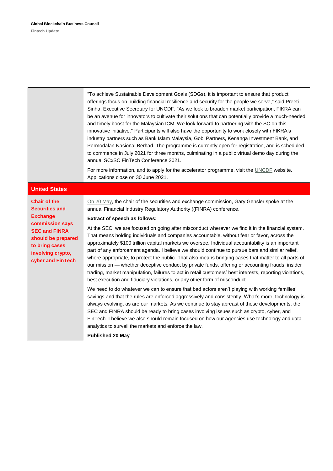|                                                                                                                                                                                              | "To achieve Sustainable Development Goals (SDGs), it is important to ensure that product<br>offerings focus on building financial resilience and security for the people we serve," said Preeti<br>Sinha, Executive Secretary for UNCDF. "As we look to broaden market participation, FIKRA can<br>be an avenue for innovators to cultivate their solutions that can potentially provide a much-needed<br>and timely boost for the Malaysian ICM. We look forward to partnering with the SC on this<br>innovative initiative." Participants will also have the opportunity to work closely with FIKRA's<br>industry partners such as Bank Islam Malaysia, Gobi Partners, Kenanga Investment Bank, and<br>Permodalan Nasional Berhad. The programme is currently open for registration, and is scheduled<br>to commence in July 2021 for three months, culminating in a public virtual demo day during the<br>annual SCxSC FinTech Conference 2021.<br>For more information, and to apply for the accelerator programme, visit the UNCDF website.<br>Applications close on 30 June 2021. |
|----------------------------------------------------------------------------------------------------------------------------------------------------------------------------------------------|-----------------------------------------------------------------------------------------------------------------------------------------------------------------------------------------------------------------------------------------------------------------------------------------------------------------------------------------------------------------------------------------------------------------------------------------------------------------------------------------------------------------------------------------------------------------------------------------------------------------------------------------------------------------------------------------------------------------------------------------------------------------------------------------------------------------------------------------------------------------------------------------------------------------------------------------------------------------------------------------------------------------------------------------------------------------------------------------|
| <b>United States</b>                                                                                                                                                                         |                                                                                                                                                                                                                                                                                                                                                                                                                                                                                                                                                                                                                                                                                                                                                                                                                                                                                                                                                                                                                                                                                         |
| <b>Chair of the</b><br><b>Securities and</b><br><b>Exchange</b><br>commission says<br><b>SEC and FINRA</b><br>should be prepared<br>to bring cases<br>involving crypto,<br>cyber and FinTech | On 20 May, the chair of the securities and exchange commission, Gary Gensler spoke at the<br>annual Financial Industry Regulatory Authority ((FINRA) conference.<br><b>Extract of speech as follows:</b><br>At the SEC, we are focused on going after misconduct wherever we find it in the financial system.<br>That means holding individuals and companies accountable, without fear or favor, across the<br>approximately \$100 trillion capital markets we oversee. Individual accountability is an important<br>part of any enforcement agenda. I believe we should continue to pursue bars and similar relief,<br>where appropriate, to protect the public. That also means bringing cases that matter to all parts of<br>our mission - whether deceptive conduct by private funds, offering or accounting frauds, insider<br>trading, market manipulation, failures to act in retail customers' best interests, reporting violations,                                                                                                                                           |
|                                                                                                                                                                                              | best execution and fiduciary violations, or any other form of misconduct.                                                                                                                                                                                                                                                                                                                                                                                                                                                                                                                                                                                                                                                                                                                                                                                                                                                                                                                                                                                                               |
|                                                                                                                                                                                              | We need to do whatever we can to ensure that bad actors aren't playing with working families'<br>savings and that the rules are enforced aggressively and consistently. What's more, technology is<br>always evolving, as are our markets. As we continue to stay abreast of those developments, the<br>SEC and FINRA should be ready to bring cases involving issues such as crypto, cyber, and<br>FinTech. I believe we also should remain focused on how our agencies use technology and data<br>analytics to surveil the markets and enforce the law.<br><b>Published 20 May</b>                                                                                                                                                                                                                                                                                                                                                                                                                                                                                                    |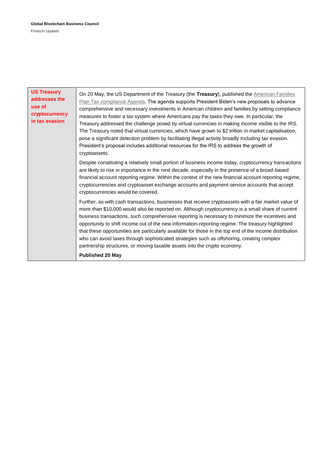| <b>US Treasury</b><br>addresses the<br>use of<br>cryptocurrency<br>in tax evasion | On 20 May, the US Department of the Treasury (the Treasury), published the American Families<br>Plan Tax compliance Agenda. The agenda supports President Biden's new proposals to advance<br>comprehensive and necessary investments in American children and families by setting compliance<br>measures to foster a tax system where Americans pay the taxes they owe. In particular, the<br>Treasury addressed the challenge posed by virtual currencies in making income visible to the IRS.<br>The Treasury noted that virtual currencies, which have grown to \$2 trillion in market capitalisation,<br>pose a significant detection problem by facilitating illegal activity broadly including tax evasion.<br>President's proposal includes additional resources for the IRS to address the growth of<br>cryptoassets. |
|-----------------------------------------------------------------------------------|--------------------------------------------------------------------------------------------------------------------------------------------------------------------------------------------------------------------------------------------------------------------------------------------------------------------------------------------------------------------------------------------------------------------------------------------------------------------------------------------------------------------------------------------------------------------------------------------------------------------------------------------------------------------------------------------------------------------------------------------------------------------------------------------------------------------------------|
|                                                                                   | Despite constituting a relatively small portion of business income today, cryptocurrency transactions<br>are likely to rise in importance in the next decade, especially in the presence of a broad-based<br>financial account reporting regime. Within the context of the new financial account reporting regime,<br>cryptocurrencies and cryptoasset exchange accounts and payment service accounts that accept<br>cryptocurrencies would be covered.                                                                                                                                                                                                                                                                                                                                                                        |
|                                                                                   | Further, as with cash transactions, businesses that receive cryptoassets with a fair market value of<br>more than \$10,000 would also be reported on. Although cryptocurrency is a small share of current<br>business transactions, such comprehensive reporting is necessary to minimize the incentives and<br>opportunity to shift income out of the new information-reporting regime. The treasury highlighted<br>that these opportunities are particularly available for those in the top end of the income distribution<br>who can avoid taxes through sophisticated strategies such as offshoring, creating complex<br>partnership structures, or moving taxable assets into the crypto economy.                                                                                                                         |
|                                                                                   | <b>Published 20 May</b>                                                                                                                                                                                                                                                                                                                                                                                                                                                                                                                                                                                                                                                                                                                                                                                                        |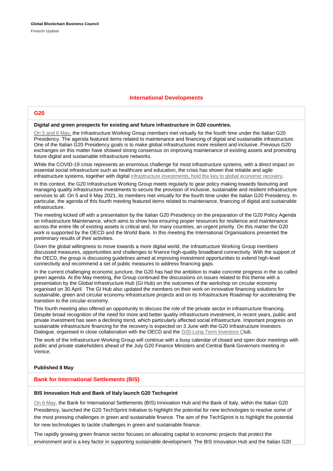#### **International Developments**

#### **G20**

#### **Digital and green prospects for existing and future infrastructure in G20 countries.**

[On 5 and 6 May,](https://www.g20.org/digital-and-green-prospects-for-existing-and-future-infrastructure-in-g20-countries.html) the Infrastructure Working Group members met virtually for the fourth time under the Italian G20 Presidency. The agenda featured items related to maintenance and financing of digital and sustainable infrastructure. One of the Italian G20 Presidency goals is to make global infrastructures more resilient and inclusive. Previous G20 exchanges on this matter have showed strong consensus on improving maintenance of existing assets and promoting future digital and sustainable infrastructure networks.

While the COVID-19 crisis represents an enormous challenge for most infrastructure systems, with a direct impact on essential social infrastructure such as healthcare and education, the crisis has shown that reliable and agile infrastructure systems, together with digital [infrastructure investments, hold the key to global economic recovery.](https://www.g20.org/g20-economic-recovery-lays-on-a-transformative-infrastructure-agenda.html)

In this context, the G20 Infrastructure Working Group meets regularly to gear policy making towards favouring and managing quality infrastructure investments to secure the provision of inclusive, sustainable and resilient infrastructure services to all. On 5 and 6 May 2021, its members met virtually for the fourth time under the Italian G20 Presidency. In particular, the agenda of this fourth meeting featured items related to maintenance, financing of digital and sustainable infrastructure.

The meeting kicked off with a presentation by the Italian G20 Presidency on the preparation of the G20 Policy Agenda on Infrastructure Maintenance, which aims to show how ensuring proper resources for resilience and maintenance across the entire life of existing assets is critical and, for many countries, an urgent priority. On this matter the G20 work is supported by the OECD and the World Bank. In this meeting the International Organisations presented the preliminary results of their activities.

Given the global willingness to move towards a more digital world, the Infrastructure Working Group members discussed measures, opportunities and challenges to finance high-quality broadband connectivity. With the support of the OECD, the group is discussing guidelines aimed at improving investment opportunities to extend high-level connectivity and recommend a set of public measures to address financing gaps.

In the current challenging economic juncture, the G20 has had the ambition to make concrete progress in the so called green agenda. At the May meeting, the Group continued the discussions on issues related to this theme with a presentation by the Global Infrastructure Hub (GI Hub) on the outcomes of the workshop on circular economy organised on 30 April. The GI Hub also updated the members on their work on innovative financing solutions for sustainable, green and circular economy infrastructure projects and on its Infrastructure Roadmap for accelerating the transition to the circular economy.

This fourth meeting also offered an opportunity to discuss the role of the private sector in infrastructure financing. Despite broad recognition of the need for more and better quality infrastructure investment, in recent years, public and private investment has seen a declining trend, which particularly affected social infrastructure. Important progress on sustainable infrastructure financing for the recovery is expected on 3 June with the G20 Infrastructure Investors Dialogue, organised in close collaboration with the OECD and the [D20-Long Term Investors Clu](http://www.d20-ltic.org/)b.

The work of the Infrastructure Working Group will continue with a busy calendar of closed and open door meetings with public and private stakeholders ahead of the July G20 Finance Ministers and Central Bank Governors meeting in Venice.

#### **Published 8 May**

#### **Bank for International Settlements (BIS)**

#### **BIS Innovation Hub and Bank of Italy launch G20 Techsprint**

[On 6 May,](https://www.bis.org/press/p210506.htm) the Bank for International Settlements (BIS) Innovation Hub and the Bank of Italy, within the Italian G20 Presidency, launched the G20 TechSprint Initiative to highlight the potential for new technologies to resolve some of the most pressing challenges in green and sustainable finance. The aim of the TechSprint is to highlight the potential for new technologies to tackle challenges in green and sustainable finance.

The rapidly growing green finance sector focuses on allocating capital to economic projects that protect the environment and is a key factor in supporting sustainable development. The BIS Innovation Hub and the Italian G20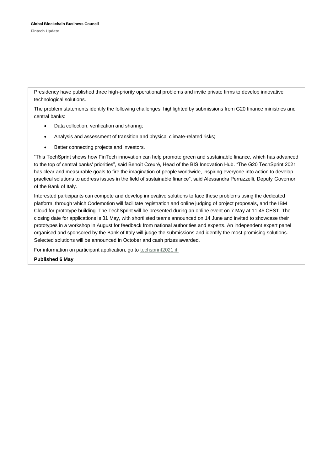Presidency have published three high-priority operational problems and invite private firms to develop innovative technological solutions.

The problem statements identify the following challenges, highlighted by submissions from G20 finance ministries and central banks:

- Data collection, verification and sharing;
- Analysis and assessment of transition and physical climate-related risks;
- Better connecting projects and investors.

"This TechSprint shows how FinTech innovation can help promote green and sustainable finance, which has advanced to the top of central banks' priorities", said Benoît Cœuré, Head of the BIS Innovation Hub. "The G20 TechSprint 2021 has clear and measurable goals to fire the imagination of people worldwide, inspiring everyone into action to develop practical solutions to address issues in the field of sustainable finance", said Alessandra Perrazzelli, Deputy Governor of the Bank of Italy.

Interested participants can compete and develop innovative solutions to face these problems using the dedicated platform, through which Codemotion will facilitate registration and online judging of project proposals, and the IBM Cloud for prototype building. The TechSprint will be presented during an online event on 7 May at 11:45 CEST. The closing date for applications is 31 May, with shortlisted teams announced on 14 June and invited to showcase their prototypes in a workshop in August for feedback from national authorities and experts. An independent expert panel organised and sponsored by the Bank of Italy will judge the submissions and identify the most promising solutions. Selected solutions will be announced in October and cash prizes awarded.

For information on participant application, go to [techsprint2021.it.](https://www.techsprint2021.it/)

**Published 6 May**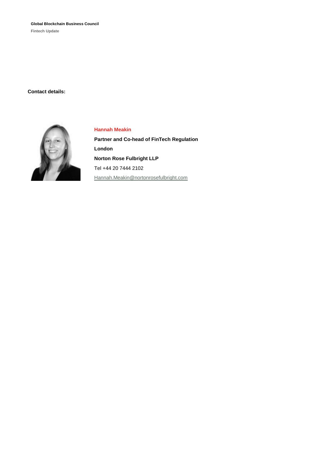**Global Blockchain Business Council**

**Fintech Update**

**Contact details:**



#### **Hannah Meakin**

**Partner and Co-head of FinTech Regulation London Norton Rose Fulbright LLP** Tel +44 20 7444 2102 [Hannah.Meakin@nortonrosefulbright.com](mailto:Hannah.Meakin@nortonrosefulbright.com)